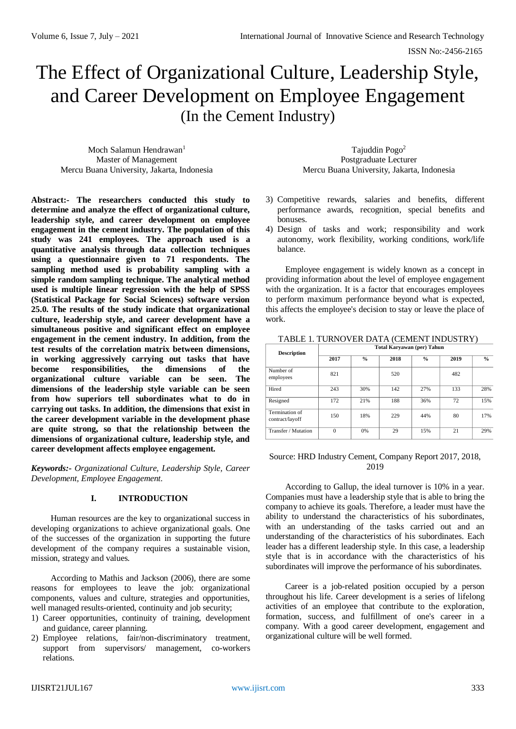# The Effect of Organizational Culture, Leadership Style, and Career Development on Employee Engagement (In the Cement Industry)

Moch Salamun Hendrawan<sup>1</sup> Master of Management Mercu Buana University, Jakarta, Indonesia

**using a questionnaire given to 71 respondents. The sampling method used is probability sampling with a simple random sampling technique. The analytical method used is multiple linear regression with the help of SPSS (Statistical Package for Social Sciences) software version 25.0. The results of the study indicate that organizational culture, leadership style, and career development have a simultaneous positive and significant effect on employee engagement in the cement industry. In addition, from the test results of the correlation matrix between dimensions, in working aggressively carrying out tasks that have become responsibilities, the dimensions of the organizational culture variable can be seen. The dimensions of the leadership style variable can be seen from how superiors tell subordinates what to do in carrying out tasks. In addition, the dimensions that exist in the career development variable in the development phase are quite strong, so that the relationship between the dimensions of organizational culture, leadership style, and** 

Tajuddin Pogo<sup>2</sup> Postgraduate Lecturer Mercu Buana University, Jakarta, Indonesia

**Abstract:- The researchers conducted this study to determine and analyze the effect of organizational culture, leadership style, and career development on employee engagement in the cement industry. The population of this study was 241 employees. The approach used is a quantitative analysis through data collection techniques**  3) Competitive rewards, salaries and benefits, different performance awards, recognition, special benefits and bonuses. 4) Design of tasks and work; responsibility and work autonomy, work flexibility, working conditions, work/life balance.

> Employee engagement is widely known as a concept in providing information about the level of employee engagement with the organization. It is a factor that encourages employees to perform maximum performance beyond what is expected, this affects the employee's decision to stay or leave the place of work.

| <b>Description</b>                | Total Karyawan (per) Tahun |               |      |               |      |               |
|-----------------------------------|----------------------------|---------------|------|---------------|------|---------------|
|                                   | 2017                       | $\frac{0}{0}$ | 2018 | $\frac{0}{0}$ | 2019 | $\frac{0}{0}$ |
| Number of<br>employees            | 821                        |               | 520  |               | 482  |               |
| Hired                             | 243                        | 30%           | 142  | 27%           | 133  | 28%           |
| Resigned                          | 172                        | 21%           | 188  | 36%           | 72   | 15%           |
| Termination of<br>contract/layoff | 150                        | 18%           | 229  | 44%           | 80   | 17%           |
| Transfer / Mutation               | $\theta$                   | 0%            | 29   | 15%           | 21   | 29%           |

# TABLE 1. TURNOVER DATA (CEMENT INDUSTRY)

#### *Keywords:- Organizational Culture, Leadership Style, Career Development, Employee Engagement.*

**career development affects employee engagement.**

#### **I. INTRODUCTION**

Human resources are the key to organizational success in developing organizations to achieve organizational goals. One of the successes of the organization in supporting the future development of the company requires a sustainable vision, mission, strategy and values.

According to Mathis and Jackson (2006), there are some reasons for employees to leave the job: organizational components, values and culture, strategies and opportunities, well managed results-oriented, continuity and job security;

- 1) Career opportunities, continuity of training, development and guidance, career planning.
- 2) Employee relations, fair/non-discriminatory treatment, support from supervisors/ management, co-workers relations.

#### Source: HRD Industry Cement, Company Report 2017, 2018, 2019

According to Gallup, the ideal turnover is 10% in a year. Companies must have a leadership style that is able to bring the company to achieve its goals. Therefore, a leader must have the ability to understand the characteristics of his subordinates, with an understanding of the tasks carried out and an understanding of the characteristics of his subordinates. Each leader has a different leadership style. In this case, a leadership style that is in accordance with the characteristics of his subordinates will improve the performance of his subordinates.

Career is a job-related position occupied by a person throughout his life. Career development is a series of lifelong activities of an employee that contribute to the exploration, formation, success, and fulfillment of one's career in a company. With a good career development, engagement and organizational culture will be well formed.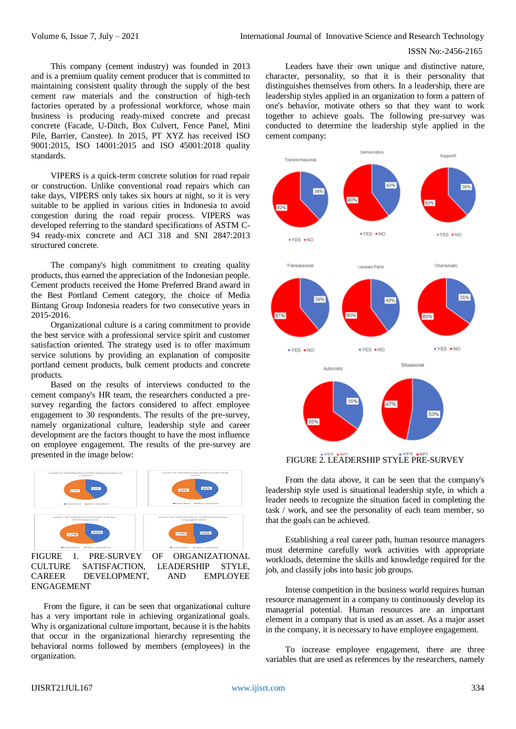This company (cement industry) was founded in 2013 and is a premium quality cement producer that is committed to maintaining consistent quality through the supply of the best cement raw materials and the construction of high-tech factories operated by a professional workforce, whose main business is producing ready-mixed concrete and precast concrete (Facade, U-Ditch, Box Culvert, Fence Panel, Mini Pile, Barrier, Canstee). In 2015, PT XYZ has received ISO 9001:2015, ISO 14001:2015 and ISO 45001:2018 quality standards.

VIPERS is a quick-term concrete solution for road repair or construction. Unlike conventional road repairs which can take days, VIPERS only takes six hours at night, so it is very suitable to be applied in various cities in Indonesia to avoid congestion during the road repair process. VIPERS was developed referring to the standard specifications of ASTM C-94 ready-mix concrete and ACI 318 and SNI 2847:2013 structured concrete.

The company's high commitment to creating quality products, thus earned the appreciation of the Indonesian people. Cement products received the Home Preferred Brand award in the Best Portland Cement category, the choice of Media Bintang Group Indonesia readers for two consecutive years in 2015-2016.

Organizational culture is a caring commitment to provide the best service with a professional service spirit and customer satisfaction oriented. The strategy used is to offer maximum service solutions by providing an explanation of composite portland cement products, bulk cement products and concrete products.

Based on the results of interviews conducted to the cement company's HR team, the researchers conducted a presurvey regarding the factors considered to affect employee engagement to 30 respondents. The results of the pre-survey, namely organizational culture, leadership style and career development are the factors thought to have the most influence on employee engagement. The results of the pre-survey are presented in the image below:



CULTURE SATISFACTION, LEADERSHIP STYLE, CAREER DEVELOPMENT, AND EMPLOYEE ENGAGEMENT

From the figure, it can be seen that organizational culture has a very important role in achieving organizational goals. Why is organizational culture important, because it is the habits that occur in the organizational hierarchy representing the behavioral norms followed by members (employees) in the organization.

Leaders have their own unique and distinctive nature, character, personality, so that it is their personality that distinguishes themselves from others. In a leadership, there are leadership styles applied in an organization to form a pattern of one's behavior, motivate others so that they want to work together to achieve goals. The following pre-survey was conducted to determine the leadership style applied in the cement company:



# FIGURE 2. LEADERSHIP STYLE PRE-SURVEY

From the data above, it can be seen that the company's leadership style used is situational leadership style, in which a leader needs to recognize the situation faced in completing the task / work, and see the personality of each team member, so that the goals can be achieved.

Establishing a real career path, human resource managers must determine carefully work activities with appropriate workloads, determine the skills and knowledge required for the job, and classify jobs into basic job groups.

Intense competition in the business world requires human resource management in a company to continuously develop its managerial potential. Human resources are an important element in a company that is used as an asset. As a major asset in the company, it is necessary to have employee engagement.

To increase employee engagement, there are three variables that are used as references by the researchers, namely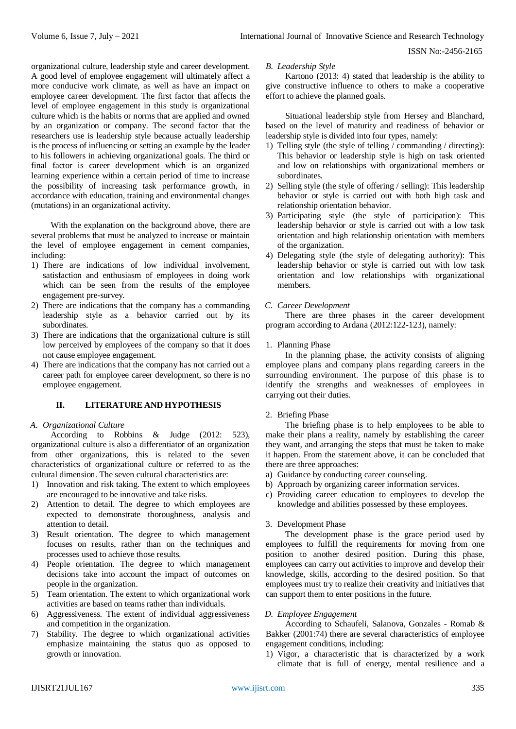organizational culture, leadership style and career development. A good level of employee engagement will ultimately affect a more conducive work climate, as well as have an impact on employee career development. The first factor that affects the level of employee engagement in this study is organizational culture which is the habits or norms that are applied and owned by an organization or company. The second factor that the researchers use is leadership style because actually leadership is the process of influencing or setting an example by the leader to his followers in achieving organizational goals. The third or final factor is career development which is an organized learning experience within a certain period of time to increase the possibility of increasing task performance growth, in accordance with education, training and environmental changes (mutations) in an organizational activity.

With the explanation on the background above, there are several problems that must be analyzed to increase or maintain the level of employee engagement in cement companies, including:

- 1) There are indications of low individual involvement, satisfaction and enthusiasm of employees in doing work which can be seen from the results of the employee engagement pre-survey.
- 2) There are indications that the company has a commanding leadership style as a behavior carried out by its subordinates.
- 3) There are indications that the organizational culture is still low perceived by employees of the company so that it does not cause employee engagement.
- 4) There are indications that the company has not carried out a career path for employee career development, so there is no employee engagement.

# **II. LITERATURE AND HYPOTHESIS**

# *A. Organizational Culture*

According to Robbins & Judge (2012: 523), organizational culture is also a differentiator of an organization from other organizations, this is related to the seven characteristics of organizational culture or referred to as the cultural dimension. The seven cultural characteristics are:

- 1) Innovation and risk taking. The extent to which employees are encouraged to be innovative and take risks.
- 2) Attention to detail. The degree to which employees are expected to demonstrate thoroughness, analysis and attention to detail.
- 3) Result orientation. The degree to which management focuses on results, rather than on the techniques and processes used to achieve those results.
- 4) People orientation. The degree to which management decisions take into account the impact of outcomes on people in the organization.
- 5) Team orientation. The extent to which organizational work activities are based on teams rather than individuals.
- 6) Aggressiveness. The extent of individual aggressiveness and competition in the organization.
- 7) Stability. The degree to which organizational activities emphasize maintaining the status quo as opposed to growth or innovation.

#### *B. Leadership Style*

Kartono (2013: 4) stated that leadership is the ability to give constructive influence to others to make a cooperative effort to achieve the planned goals.

Situational leadership style from Hersey and Blanchard, based on the level of maturity and readiness of behavior or leadership style is divided into four types, namely:

- 1) Telling style (the style of telling / commanding / directing): This behavior or leadership style is high on task oriented and low on relationships with organizational members or subordinates.
- 2) Selling style (the style of offering / selling): This leadership behavior or style is carried out with both high task and relationship orientation behavior.
- 3) Participating style (the style of participation): This leadership behavior or style is carried out with a low task orientation and high relationship orientation with members of the organization.
- 4) Delegating style (the style of delegating authority): This leadership behavior or style is carried out with low task orientation and low relationships with organizational members.

# *C. Career Development*

There are three phases in the career development program according to Ardana (2012:122-123), namely:

1. Planning Phase

In the planning phase, the activity consists of aligning employee plans and company plans regarding careers in the surrounding environment. The purpose of this phase is to identify the strengths and weaknesses of employees in carrying out their duties.

# 2. Briefing Phase

The briefing phase is to help employees to be able to make their plans a reality, namely by establishing the career they want, and arranging the steps that must be taken to make it happen. From the statement above, it can be concluded that there are three approaches:

- a) Guidance by conducting career counseling.
- b) Approach by organizing career information services.
- c) Providing career education to employees to develop the knowledge and abilities possessed by these employees.

# 3. Development Phase

The development phase is the grace period used by employees to fulfill the requirements for moving from one position to another desired position. During this phase, employees can carry out activities to improve and develop their knowledge, skills, according to the desired position. So that employees must try to realize their creativity and initiatives that can support them to enter positions in the future.

# *D. Employee Engagement*

According to Schaufeli, Salanova, Gonzales - Romab & Bakker (2001:74) there are several characteristics of employee engagement conditions, including:

1) Vigor, a characteristic that is characterized by a work climate that is full of energy, mental resilience and a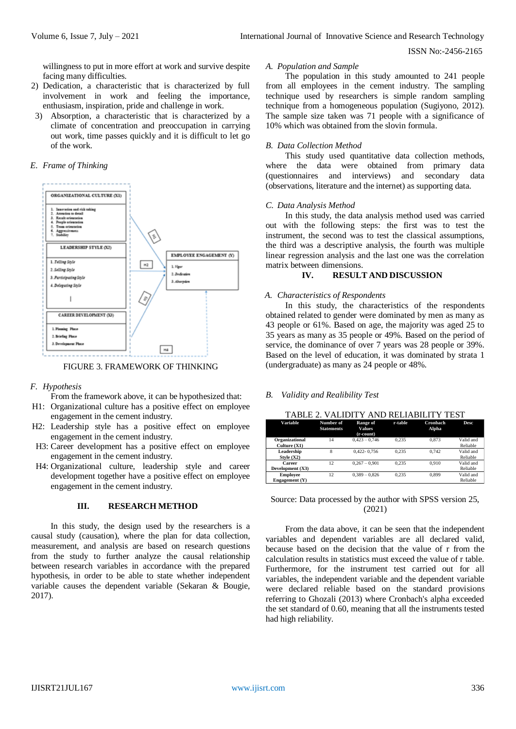willingness to put in more effort at work and survive despite facing many difficulties.

- 2) Dedication, a characteristic that is characterized by full involvement in work and feeling the importance, enthusiasm, inspiration, pride and challenge in work.
- 3) Absorption, a characteristic that is characterized by a climate of concentration and preoccupation in carrying out work, time passes quickly and it is difficult to let go of the work.

#### *E. Frame of Thinking*



FIGURE 3. FRAMEWORK OF THINKING

# *F. Hypothesis*

From the framework above, it can be hypothesized that:

- H1: Organizational culture has a positive effect on employee engagement in the cement industry.
- H2: Leadership style has a positive effect on employee engagement in the cement industry.
- H3: Career development has a positive effect on employee engagement in the cement industry.
- H4: Organizational culture, leadership style and career development together have a positive effect on employee engagement in the cement industry.

# **III. RESEARCH METHOD**

In this study, the design used by the researchers is a causal study (causation), where the plan for data collection, measurement, and analysis are based on research questions from the study to further analyze the causal relationship between research variables in accordance with the prepared hypothesis, in order to be able to state whether independent variable causes the dependent variable (Sekaran & Bougie, 2017).

# *A. Population and Sample*

The population in this study amounted to 241 people from all employees in the cement industry. The sampling technique used by researchers is simple random sampling technique from a homogeneous population (Sugiyono, 2012). The sample size taken was 71 people with a significance of 10% which was obtained from the slovin formula.

#### *B. Data Collection Method*

This study used quantitative data collection methods, where the data were obtained from primary data (questionnaires and interviews) and secondary data (observations, literature and the internet) as supporting data.

#### *C. Data Analysis Method*

In this study, the data analysis method used was carried out with the following steps: the first was to test the instrument, the second was to test the classical assumptions, the third was a descriptive analysis, the fourth was multiple linear regression analysis and the last one was the correlation matrix between dimensions.

# **IV. RESULT AND DISCUSSION**

#### *A. Characteristics of Respondents*

In this study, the characteristics of the respondents obtained related to gender were dominated by men as many as 43 people or 61%. Based on age, the majority was aged 25 to 35 years as many as 35 people or 49%. Based on the period of service, the dominance of over 7 years was 28 people or 39%. Based on the level of education, it was dominated by strata 1 (undergraduate) as many as 24 people or 48%.

# *B. Validity and Realibility Test*

TABLE 2. VALIDITY AND RELIABILITY TEST

| Variable                            | Number of<br><b>Statements</b> | Range of<br><b>Values</b><br>(r-count) | r-table | Cronbach<br>Alpha | <b>Desc</b>           |
|-------------------------------------|--------------------------------|----------------------------------------|---------|-------------------|-----------------------|
| Organizational<br>Culture $(X1)$    | 14                             | $0.423 - 0.746$                        | 0.235   | 0.873             | Valid and<br>Reliable |
| Leadership<br>Style $(X2)$          | 8                              | $0.422 - 0.756$                        | 0.235   | 0.742             | Valid and<br>Reliable |
| Career<br>Development (X3)          | 12                             | $0.267 - 0.901$                        | 0.235   | 0.910             | Valid and<br>Reliable |
| <b>Employee</b><br>Engagement $(Y)$ | 12                             | $0.389 - 0.826$                        | 0.235   | 0.899             | Valid and<br>Reliable |

# Source: Data processed by the author with SPSS version 25, (2021)

From the data above, it can be seen that the independent variables and dependent variables are all declared valid, because based on the decision that the value of r from the calculation results in statistics must exceed the value of r table. Furthermore, for the instrument test carried out for all variables, the independent variable and the dependent variable were declared reliable based on the standard provisions referring to Ghozali (2013) where Cronbach's alpha exceeded the set standard of 0.60, meaning that all the instruments tested had high reliability.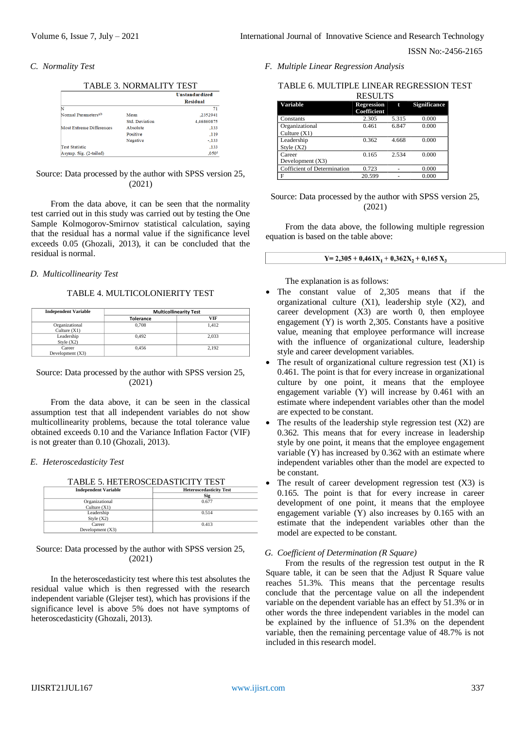#### *C. Normality Test*

|                                 | <b>TABLE 3. NORMALITY TEST</b> | <b>Unstandardized</b> |
|---------------------------------|--------------------------------|-----------------------|
|                                 |                                | <b>Residual</b>       |
| N                               |                                | 71                    |
| Normal Parameters <sup>ab</sup> | Mean                           | .2352941              |
|                                 | <b>Std. Deviation</b>          | 4.46860875            |
| Most Extreme Differences        | Absolute                       | .133                  |
|                                 | Positive                       | .119                  |
|                                 | Negative                       | $-.133$               |
| <b>Test Statistic</b>           |                                | .133                  |
| Asymp. Sig. (2-tailed)          |                                | .050 <sup>°</sup>     |

# Source: Data processed by the author with SPSS version 25, (2021)

From the data above, it can be seen that the normality test carried out in this study was carried out by testing the One Sample Kolmogorov-Smirnov statistical calculation, saying that the residual has a normal value if the significance level exceeds 0.05 (Ghozali, 2013), it can be concluded that the residual is normal.

# *D. Multicollinearity Test*

#### TABLE 4. MULTICOLONIERITY TEST

| <b>Independent Variable</b>      | <b>Multicollinearity Test</b> |       |  |
|----------------------------------|-------------------------------|-------|--|
|                                  | <b>Tolerance</b>              | VIF   |  |
| Organizational<br>Culture $(X1)$ | 0.708                         | 1,412 |  |
| Leadership<br>Style $(X2)$       | 0.492                         | 2.033 |  |
| Career<br>Development (X3)       | 0.456                         | 2.192 |  |

#### Source: Data processed by the author with SPSS version 25, (2021)

From the data above, it can be seen in the classical assumption test that all independent variables do not show multicollinearity problems, because the total tolerance value obtained exceeds 0.10 and the Variance Inflation Factor (VIF) is not greater than 0.10 (Ghozali, 2013).

#### *E. Heteroscedasticity Test*

| TABLE 5. HETEROSCEDASTICITY TEST |  |
|----------------------------------|--|
|                                  |  |

| <b>Independent Variable</b> | <b>Heteroscedasticity Test</b> |
|-----------------------------|--------------------------------|
|                             | <b>Sig</b>                     |
| Organizational              | 0.677                          |
| Culture $(X1)$              |                                |
| Leadership                  | 0.514                          |
| Style $(X2)$                |                                |
| Career                      | 0.413                          |
| Development $(X3)$          |                                |
|                             |                                |

Source: Data processed by the author with SPSS version 25, (2021)

In the heteroscedasticity test where this test absolutes the residual value which is then regressed with the research independent variable (Glejser test), which has provisions if the significance level is above 5% does not have symptoms of heteroscedasticity (Ghozali, 2013).

*F. Multiple Linear Regression Analysis*

# TABLE 6. MULTIPLE LINEAR REGRESSION TEST

|                                    | <b>RESULTS</b>                   |       |                     |  |
|------------------------------------|----------------------------------|-------|---------------------|--|
| Variable                           | <b>Regression</b><br>Coefficient | t     | <b>Significance</b> |  |
| Constants                          | 2.305                            | 5.315 | 0.000               |  |
| Organizational                     | 0.461                            | 6.847 | 0.000               |  |
| Culture $(X1)$                     |                                  |       |                     |  |
| Leadership                         | 0.362                            | 4.668 | 0.000               |  |
| Style $(X2)$                       |                                  |       |                     |  |
| Career                             | 0.165                            | 2.534 | 0.000               |  |
| Development (X3)                   |                                  |       |                     |  |
| <b>Cofficient of Determination</b> | 0.723                            |       | 0.000               |  |
| F                                  | 20.599                           |       | 0.000               |  |

Source: Data processed by the author with SPSS version 25, (2021)

From the data above, the following multiple regression equation is based on the table above:

#### $Y = 2,305 + 0,461X_1 + 0,362X_2 + 0,165X_3$

The explanation is as follows:

- The constant value of 2,305 means that if the organizational culture (X1), leadership style (X2), and career development  $(X3)$  are worth 0, then employee engagement (Y) is worth 2,305. Constants have a positive value, meaning that employee performance will increase with the influence of organizational culture, leadership style and career development variables.
- The result of organizational culture regression test (X1) is 0.461. The point is that for every increase in organizational culture by one point, it means that the employee engagement variable (Y) will increase by 0.461 with an estimate where independent variables other than the model are expected to be constant.
- The results of the leadership style regression test  $(X2)$  are 0.362. This means that for every increase in leadership style by one point, it means that the employee engagement variable (Y) has increased by 0.362 with an estimate where independent variables other than the model are expected to be constant.
- The result of career development regression test  $(X3)$  is 0.165. The point is that for every increase in career development of one point, it means that the employee engagement variable (Y) also increases by 0.165 with an estimate that the independent variables other than the model are expected to be constant.

#### *G. Coefficient of Determination (R Square)*

From the results of the regression test output in the R Square table, it can be seen that the Adjust R Square value reaches 51.3%. This means that the percentage results conclude that the percentage value on all the independent variable on the dependent variable has an effect by 51.3% or in other words the three independent variables in the model can be explained by the influence of 51.3% on the dependent variable, then the remaining percentage value of 48.7% is not included in this research model.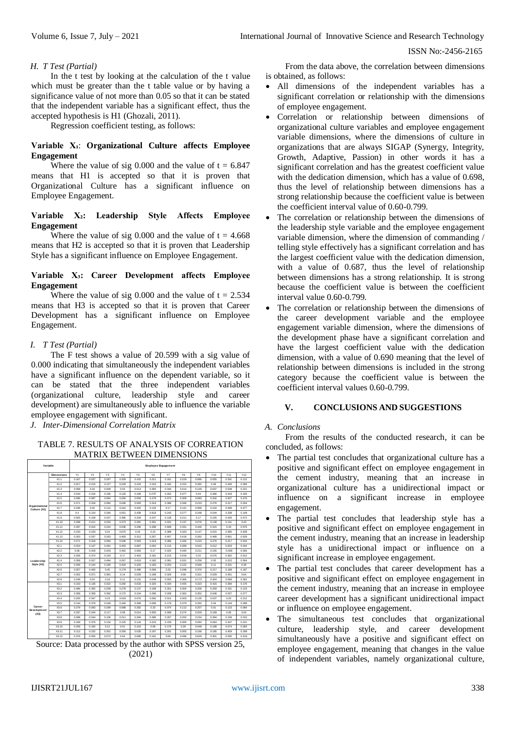#### *H. T Test (Partial)*

In the t test by looking at the calculation of the t value which must be greater than the t table value or by having a significance value of not more than 0.05 so that it can be stated that the independent variable has a significant effect, thus the accepted hypothesis is H1 (Ghozali, 2011).

Regression coefficient testing, as follows:

# **Variable X₁**: **Organizational Culture affects Employee Engagement**

Where the value of sig 0.000 and the value of  $t = 6.847$ means that H1 is accepted so that it is proven that Organizational Culture has a significant influence on Employee Engagement.

# **Variable X₂: Leadership Style Affects Employee Engagement**

Where the value of sig 0.000 and the value of  $t = 4.668$ means that H2 is accepted so that it is proven that Leadership Style has a significant influence on Employee Engagement.

# **Variable X₃: Career Development affects Employee Engagement**

Where the value of sig 0.000 and the value of  $t = 2.534$ means that H3 is accepted so that it is proven that Career Development has a significant influence on Employee Engagement.

# *I. T Test (Partial)*

The F test shows a value of 20.599 with a sig value of 0.000 indicating that simultaneously the independent variables have a significant influence on the dependent variable, so it can be stated that the three independent variables (organizational culture, leadership style and career development) are simultaneously able to influence the variable employee engagement with significant.

*J. Inter-Dimensional Correlation Matrix*

#### TABLE 7. RESULTS OF ANALYSIS OF CORREATION MATRIX BETWEEN DIMENSIONS



Source: Data processed by the author with SPSS version 25, (2021)

From the data above, the correlation between dimensions is obtained, as follows:

- All dimensions of the independent variables has a significant correlation or relationship with the dimensions of employee engagement.
- Correlation or relationship between dimensions of organizational culture variables and employee engagement variable dimensions, where the dimensions of culture in organizations that are always SIGAP (Synergy, Integrity, Growth, Adaptive, Passion) in other words it has a significant correlation and has the greatest coefficient value with the dedication dimension, which has a value of 0.698. thus the level of relationship between dimensions has a strong relationship because the coefficient value is between the coefficient interval value of 0.60-0.799.
- The correlation or relationship between the dimensions of the leadership style variable and the employee engagement variable dimension, where the dimension of commanding / telling style effectively has a significant correlation and has the largest coefficient value with the dedication dimension, with a value of 0.687, thus the level of relationship between dimensions has a strong relationship. It is strong because the coefficient value is between the coefficient interval value 0.60-0.799.
- The correlation or relationship between the dimensions of the career development variable and the employee engagement variable dimension, where the dimensions of the development phase have a significant correlation and have the largest coefficient value with the dedication dimension, with a value of 0.690 meaning that the level of relationship between dimensions is included in the strong category because the coefficient value is between the coefficient interval values 0.60-0.799.

# **V. CONCLUSIONS AND SUGGESTIONS**

# *A. Conclusions*

From the results of the conducted research, it can be concluded, as follows:

- The partial test concludes that organizational culture has a positive and significant effect on employee engagement in the cement industry, meaning that an increase in organizational culture has a unidirectional impact or influence on a significant increase in employee engagement.
- The partial test concludes that leadership style has a positive and significant effect on employee engagement in the cement industry, meaning that an increase in leadership style has a unidirectional impact or influence on a significant increase in employee engagement.
- The partial test concludes that career development has a positive and significant effect on employee engagement in the cement industry, meaning that an increase in employee career development has a significant unidirectional impact or influence on employee engagement.
- The simultaneous test concludes that organizational culture, leadership style, and career development simultaneously have a positive and significant effect on employee engagement, meaning that changes in the value of independent variables, namely organizational culture,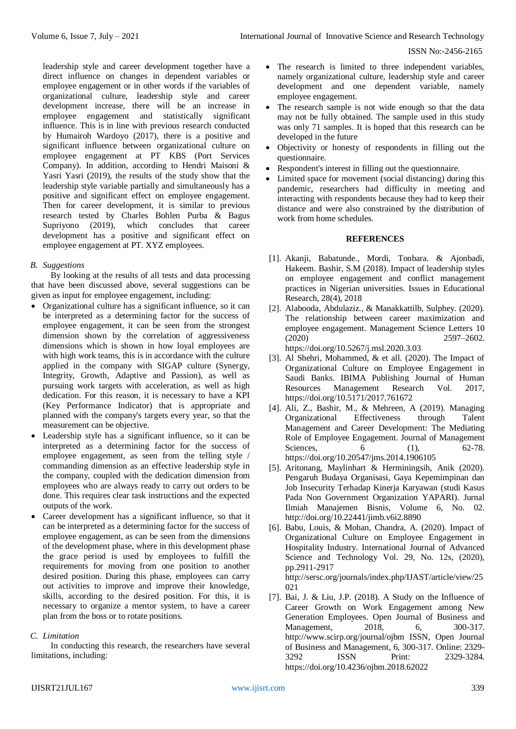leadership style and career development together have a direct influence on changes in dependent variables or employee engagement or in other words if the variables of organizational culture, leadership style and career development increase, there will be an increase in employee engagement and statistically significant influence. This is in line with previous research conducted by Humairoh Wardoyo (2017), there is a positive and significant influence between organizational culture on employee engagement at PT KBS (Port Services Company). In addition, according to Hendri Maisoni & Yasri Yasri (2019), the results of the study show that the leadership style variable partially and simultaneously has a positive and significant effect on employee engagement. Then for career development, it is similar to previous research tested by Charles Bohlen Purba & Bagus Supriyono (2019), which concludes that career development has a positive and significant effect on employee engagement at PT. XYZ employees.

# *B. Suggestions*

By looking at the results of all tests and data processing that have been discussed above, several suggestions can be given as input for employee engagement, including:

- Organizational culture has a significant influence, so it can be interpreted as a determining factor for the success of employee engagement, it can be seen from the strongest dimension shown by the correlation of aggressiveness dimensions which is shown in how loyal employees are with high work teams, this is in accordance with the culture applied in the company with SIGAP culture (Synergy, Integrity, Growth, Adaptive and Passion), as well as pursuing work targets with acceleration, as well as high dedication. For this reason, it is necessary to have a KPI (Key Performance Indicator) that is appropriate and planned with the company's targets every year, so that the measurement can be objective.
- Leadership style has a significant influence, so it can be interpreted as a determining factor for the success of employee engagement, as seen from the telling style / commanding dimension as an effective leadership style in the company, coupled with the dedication dimension from employees who are always ready to carry out orders to be done. This requires clear task instructions and the expected outputs of the work.
- Career development has a significant influence, so that it can be interpreted as a determining factor for the success of employee engagement, as can be seen from the dimensions of the development phase, where in this development phase the grace period is used by employees to fulfill the requirements for moving from one position to another desired position. During this phase, employees can carry out activities to improve and improve their knowledge, skills, according to the desired position. For this, it is necessary to organize a mentor system, to have a career plan from the boss or to rotate positions.

# *C. Limitation*

In conducting this research, the researchers have several limitations, including:

- The research is limited to three independent variables, namely organizational culture, leadership style and career development and one dependent variable, namely employee engagement.
- The research sample is not wide enough so that the data may not be fully obtained. The sample used in this study was only 71 samples. It is hoped that this research can be developed in the future
- Objectivity or honesty of respondents in filling out the questionnaire.
- Respondent's interest in filling out the questionnaire.
- Limited space for movement (social distancing) during this pandemic, researchers had difficulty in meeting and interacting with respondents because they had to keep their distance and were also constrained by the distribution of work from home schedules.

# **REFERENCES**

- [1]. Akanji, Babatunde., Mordi, Tonbara. & Ajonbadi, Hakeem. Bashir, S.M (2018). Impact of leadership styles on employee engagement and conflict management practices in Nigerian universities. Issues in Educational Research, 28(4), 2018
- [2]. Alabooda, Abdulaziz., & Manakkattilb, Sulphey. (2020). The relationship between career maximization and employee engagement. Management Science Letters 10  $(2020)$   $2597-2602$ . https://doi.org/10.5267/j.msl.2020.3.03
- [3]. Al Shehri, Mohammed, & et all. (2020). The Impact of Organizational Culture on Employee Engagement in Saudi Banks. IBIMA Publishing Journal of Human Resources Management Research Vol. 2017, https://doi.org/10.5171/2017.761672
- [4]. Ali, Z., Bashir, M., & Mehreen, A (2019). Managing Organizational Effectiveness through Talent Management and Career Development: The Mediating Role of Employee Engagement. Journal of Management Sciences, 6 (1), 62-78. https://doi.org/10.20547/jms.2014.1906105
- [5]. Aritonang, Maylinhart & Herminingsih, Anik (2020). Pengaruh Budaya Organisasi, Gaya Kepemimpinan dan Job Insecurity Terhadap Kinerja Karyawan (studi Kasus Pada Non Government Organization YAPARI). Jurnal Ilmiah Manajemen Bisnis, Volume 6, No. 02. http://doi.org/10.22441/jimb.v6i2.8890
- [6]. Babu, Louis, & Mohan, Chandra, A. (2020). Impact of Organizational Culture on Employee Engagement in Hospitality Industry. International Journal of Advanced Science and Technology Vol. 29, No. 12s, (2020), pp.2911-2917

http://sersc.org/journals/index.php/IJAST/article/view/25 021

[7]. Bai, J. & Liu, J.P. (2018). A Study on the Influence of Career Growth on Work Engagement among New Generation Employees. Open Journal of Business and Management, 2018, 6, 300-317. http://www.scirp.org/journal/ojbm ISSN, Open Journal of Business and Management, 6, 300-317. Online: 2329- 3292 ISSN Print: 2329-3284. https://doi.org/10.4236/ojbm.2018.62022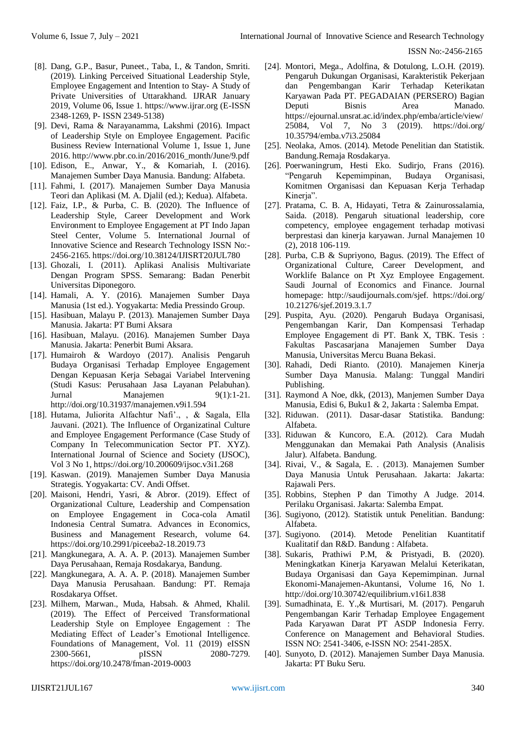- [8]. Dang, G.P., Basur, Puneet., Taba, I., & Tandon, Smriti. (2019). Linking Perceived Situational Leadership Style, Employee Engagement and Intention to Stay- A Study of Private Universities of Uttarakhand. IJRAR January 2019, Volume 06, Issue 1. https://www.ijrar.org (E-ISSN 2348-1269, P- ISSN 2349-5138)
- [9]. Devi, Rama & Narayanamma, Lakshmi (2016). Impact of Leadership Style on Employee Engagement. Pacific Business Review International Volume 1, Issue 1, June 2016. http://www.pbr.co.in/2016/2016\_month/June/9.pdf
- [10]. Edison, E., Anwar, Y., & Komariah, I. (2016). Manajemen Sumber Daya Manusia. Bandung: Alfabeta.
- [11]. Fahmi, I. (2017). Manajemen Sumber Daya Manusia Teori dan Aplikasi (M. A. Djalil (ed.); Kedua). Alfabeta.
- [12]. Faiz, I.P., & Purba, C. B. (2020). The Influence of Leadership Style, Career Development and Work Environment to Employee Engagement at PT Indo Japan Steel Center, Volume 5. International Journal of Innovative Science and Research Technology ISSN No:- 2456-2165. https://doi.org/10.38124/IJISRT20JUL780
- [13]. Ghozali, I. (2011). Aplikasi Analisis Multivariate Dengan Program SPSS. Semarang: Badan Penerbit Universitas Diponegoro.
- [14]. Hamali, A. Y. (2016). Manajemen Sumber Daya Manusia (1st ed.). Yogyakarta: Media Pressindo Group.
- [15]. Hasibuan, Malayu P. (2013). Manajemen Sumber Daya Manusia. Jakarta: PT Bumi Aksara
- [16]. Hasibuan, Malayu. (2016). Manajemen Sumber Daya Manusia. Jakarta: Penerbit Bumi Aksara.
- [17]. Humairoh & Wardoyo (2017). Analisis Pengaruh Budaya Organisasi Terhadap Employee Engagement Dengan Kepuasan Kerja Sebagai Variabel Intervening (Studi Kasus: Perusahaan Jasa Layanan Pelabuhan). Jurnal Manajemen 9(1):1-21. http://doi.org/10.31937/manajemen.v9i1.594
- [18]. Hutama, Juliorita Alfachtur Nafi'., , & Sagala, Ella Jauvani. (2021). The Influence of Organizatinal Culture and Employee Engagement Performance (Case Study of Company In Telecommunication Sector PT. XYZ). International Journal of Science and Society (IJSOC), Vol 3 No 1, https://doi.org/10.200609/ijsoc.v3i1.268
- [19]. Kaswan. (2019). Manajemen Sumber Daya Manusia Strategis. Yogyakarta: CV. Andi Offset.
- [20]. Maisoni, Hendri, Yasri, & Abror. (2019). Effect of Organizational Culture, Leadership and Compensation on Employee Engagement in Coca-cola Amatil Indonesia Central Sumatra. Advances in Economics, Business and Management Research, volume 64. https://doi.org/10.2991/piceeba2-18.2019.73
- [21]. Mangkunegara, A. A. A. P. (2013). Manajemen Sumber Daya Perusahaan, Remaja Rosdakarya, Bandung.
- [22]. Mangkunegara, A. A. A. P. (2018). Manajemen Sumber Daya Manusia Perusahaan. Bandung: PT. Remaja Rosdakarya Offset.
- [23]. Milhem, Marwan., Muda, Habsah. & Ahmed, Khalil. (2019). The Effect of Perceived Transformational Leadership Style on Employee Engagement : The Mediating Effect of Leader's Emotional Intelligence. Foundations of Management, Vol. 11 (2019) eISSN 2300-5661, pISSN 2080-7279. https://doi.org/10.2478/fman-2019-0003
- [24]. Montori, Mega., Adolfina, & Dotulong, L.O.H. (2019). Pengaruh Dukungan Organisasi, Karakteristik Pekerjaan dan Pengembangan Karir Terhadap Keterikatan Karyawan Pada PT. PEGADAIAN (PERSERO) Bagian Deputi Bisnis Area Manado. https://ejournal.unsrat.ac.id/index.php/emba/article/view/ 25084, Vol 7, No 3 (2019). https://doi.org/ 10.35794/emba.v7i3.25084
- [25]. Neolaka, Amos. (2014). Metode Penelitian dan Statistik. Bandung.Remaja Rosdakarya.
- [26]. Poerwaningrum, Hesti Eko. Sudirjo, Frans (2016). "Pengaruh Kepemimpinan, Budaya Organisasi, Komitmen Organisasi dan Kepuasan Kerja Terhadap Kinerja".
- [27]. Pratama, C. B. A, Hidayati, Tetra & Zainurossalamia, Saida. (2018). Pengaruh situational leadership, core competency, employee engagement terhadap motivasi berprestasi dan kinerja karyawan. Jurnal Manajemen 10 (2), 2018 106-119.
- [28]. Purba, C.B & Supriyono, Bagus. (2019). The Effect of Organizational Culture, Career Development, and Worklife Balance on Pt Xyz Employee Engagement. Saudi Journal of Economics and Finance. Journal homepage: http://saudijournals.com/sjef. https://doi.org/ 10.21276/sjef.2019.3.1.7
- [29]. Puspita, Ayu. (2020). Pengaruh Budaya Organisasi, Pengembangan Karir, Dan Kompensasi Terhadap Employee Engagement di PT. Bank X, TBK. Tesis : Fakultas Pascasarjana Manajemen Sumber Daya Manusia, Universitas Mercu Buana Bekasi.
- [30]. Rahadi, Dedi Rianto. (2010). Manajemen Kinerja Sumber Daya Manusia. Malang: Tunggal Mandiri Publishing.
- [31]. Raymond A Noe, dkk, (2013), Manjemen Sumber Daya Manusia, Edisi 6, Buku1 & 2, Jakarta : Salemba Empat.
- [32]. Riduwan. (2011). Dasar-dasar Statistika. Bandung: Alfabeta.
- [33]. Riduwan & Kuncoro, E.A. (2012). Cara Mudah Menggunakan dan Memakai Path Analysis (Analisis Jalur). Alfabeta. Bandung.
- [34]. Rivai, V., & Sagala, E. . (2013). Manajemen Sumber Daya Manusia Untuk Perusahaan. Jakarta: Jakarta: Rajawali Pers.
- [35]. Robbins, Stephen P dan Timothy A Judge. 2014. Perilaku Organisasi. Jakarta: Salemba Empat.
- [36]. Sugiyono, (2012). Statistik untuk Penelitian. Bandung: Alfabeta.
- [37]. Sugiyono. (2014). Metode Penelitian Kuantitatif Kualitatif dan R&D. Bandung : Alfabeta.
- [38]. Sukaris, Prathiwi P.M, & Pristyadi, B. (2020). Meningkatkan Kinerja Karyawan Melalui Keterikatan, Budaya Organisasi dan Gaya Kepemimpinan. Jurnal Ekonomi-Manajemen-Akuntansi, Volume 16, No 1. http://doi.org/10.30742/equilibrium.v16i1.838
- [39]. Sumadhinata, E. Y.,& Murtisari, M. (2017). Pengaruh Pengembangan Karir Terhadap Employee Engagement Pada Karyawan Darat PT ASDP Indonesia Ferry. Conference on Management and Behavioral Studies. ISSN NO: 2541-3406, e-ISSN NO: 2541-285X.
- [40]. Sunyoto, D. (2012). Manajemen Sumber Daya Manusia. Jakarta: PT Buku Seru.